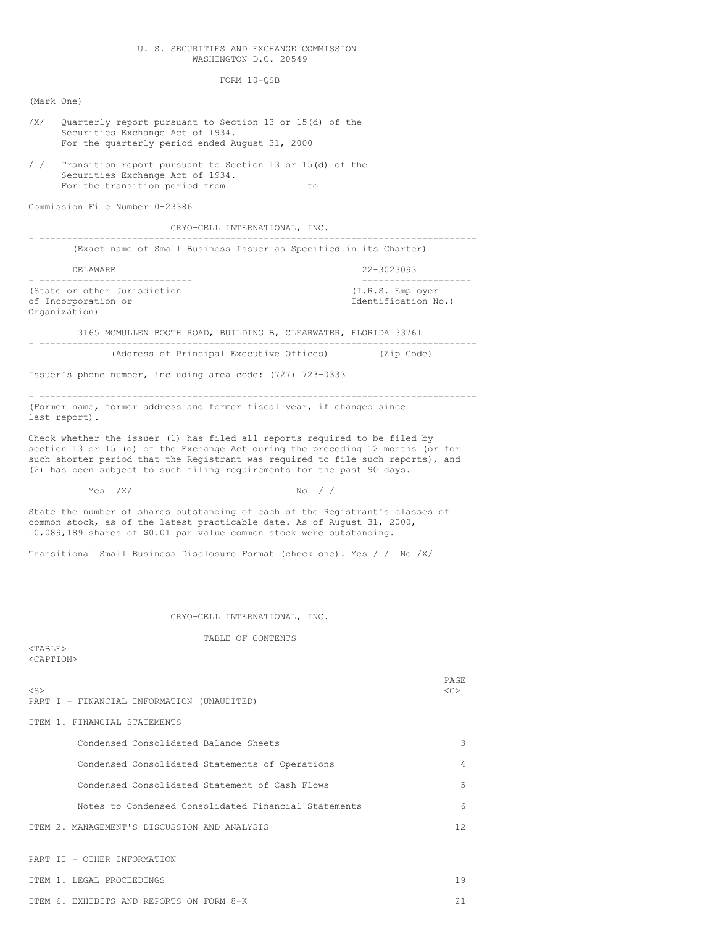## U. S. SECURITIES AND EXCHANGE COMMISSION WASHINGTON D.C. 20549

FORM 10-QSB

(Mark One) /X/ Quarterly report pursuant to Section 13 or 15(d) of the Securities Exchange Act of 1934. For the quarterly period ended August 31, 2000 / / Transition report pursuant to Section 13 or 15(d) of the Securities Exchange Act of 1934. For the transition period from to Commission File Number 0-23386 CRYO-CELL INTERNATIONAL, INC. - -------------------------------------------------------------------------------- (Exact name of Small Business Issuer as Specified in its Charter) DELAWARE 22-3023093 - ---------------------------- -------------------- (State or other Jurisdiction (I.R.S. Employer of Incorporation or Identification No.) Organization) 3165 MCMULLEN BOOTH ROAD, BUILDING B, CLEARWATER, FLORIDA 33761 - -------------------------------------------------------------------------------- (Address of Principal Executive Offices) (Zip Code) Issuer's phone number, including area code: (727) 723-0333 - -------------------------------------------------------------------------------- (Former name, former address and former fiscal year, if changed since last report). Check whether the issuer (1) has filed all reports required to be filed by section 13 or 15 (d) of the Exchange Act during the preceding 12 months (or for such shorter period that the Registrant was required to file such reports), and (2) has been subject to such filing requirements for the past 90 days.  $Yes$  /X/  $No$  / / State the number of shares outstanding of each of the Registrant's classes of common stock, as of the latest practicable date. As of August 31, 2000, 10,089,189 shares of \$0.01 par value common stock were outstanding. Transitional Small Business Disclosure Format (check one). Yes / / No /X/ CRYO-CELL INTERNATIONAL, INC. TABLE OF CONTENTS <TABLE> <CAPTION> PAGE <S> <C> PART I - FINANCIAL INFORMATION (UNAUDITED) ITEM 1. FINANCIAL STATEMENTS Condensed Consolidated Balance Sheets 3 Condensed Consolidated Statements of Operations 4 Condensed Consolidated Statement of Cash Flows 5 Notes to Condensed Consolidated Financial Statements 6

ITEM 2. MANAGEMENT'S DISCUSSION AND ANALYSIS 12

PART II - OTHER INFORMATION

ITEM 1. LEGAL PROCEEDINGS 19 ITEM 6. EXHIBITS AND REPORTS ON FORM 8-K 21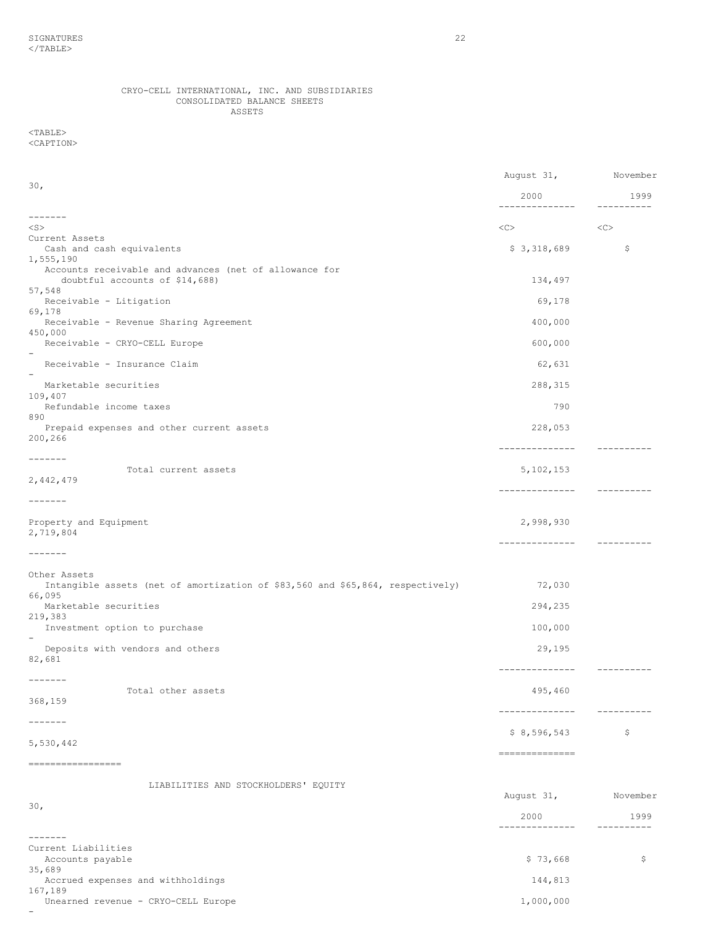# CRYO-CELL INTERNATIONAL, INC. AND SUBSIDIARIES CONSOLIDATED BALANCE SHEETS ASSETS

# $<$ TABLE $>$ <CAPTION>

|                                                                                                | August 31,                                                                                                                                                                                                                                                                                                                                                                                                                                                                             | November         |
|------------------------------------------------------------------------------------------------|----------------------------------------------------------------------------------------------------------------------------------------------------------------------------------------------------------------------------------------------------------------------------------------------------------------------------------------------------------------------------------------------------------------------------------------------------------------------------------------|------------------|
| 30 <sub>1</sub>                                                                                | 2000                                                                                                                                                                                                                                                                                                                                                                                                                                                                                   | 1999             |
| -------                                                                                        | --------------                                                                                                                                                                                                                                                                                                                                                                                                                                                                         |                  |
| $<$ S $>$                                                                                      | <<>                                                                                                                                                                                                                                                                                                                                                                                                                                                                                    | $<<$ $<$ $<$ $>$ |
| Current Assets<br>Cash and cash equivalents                                                    | \$3,318,689                                                                                                                                                                                                                                                                                                                                                                                                                                                                            | Ş.               |
| 1,555,190<br>Accounts receivable and advances (net of allowance for                            |                                                                                                                                                                                                                                                                                                                                                                                                                                                                                        |                  |
| doubtful accounts of \$14,688)<br>57,548                                                       | 134,497                                                                                                                                                                                                                                                                                                                                                                                                                                                                                |                  |
| Receivable - Litigation<br>69,178                                                              | 69,178                                                                                                                                                                                                                                                                                                                                                                                                                                                                                 |                  |
| Receivable - Revenue Sharing Agreement<br>450,000                                              | 400,000                                                                                                                                                                                                                                                                                                                                                                                                                                                                                |                  |
| Receivable - CRYO-CELL Europe                                                                  | 600,000                                                                                                                                                                                                                                                                                                                                                                                                                                                                                |                  |
| Receivable - Insurance Claim                                                                   | 62,631                                                                                                                                                                                                                                                                                                                                                                                                                                                                                 |                  |
| Marketable securities<br>109,407                                                               | 288, 315                                                                                                                                                                                                                                                                                                                                                                                                                                                                               |                  |
| Refundable income taxes<br>890                                                                 | 790                                                                                                                                                                                                                                                                                                                                                                                                                                                                                    |                  |
| Prepaid expenses and other current assets<br>200,266                                           | 228,053                                                                                                                                                                                                                                                                                                                                                                                                                                                                                |                  |
| $- - - - - - -$<br>Total current assets                                                        | --------------<br>5, 102, 153                                                                                                                                                                                                                                                                                                                                                                                                                                                          |                  |
| 2,442,479                                                                                      | --------------                                                                                                                                                                                                                                                                                                                                                                                                                                                                         | -----------      |
| $- - - - - - -$                                                                                |                                                                                                                                                                                                                                                                                                                                                                                                                                                                                        |                  |
| Property and Equipment<br>2,719,804                                                            | 2,998,930                                                                                                                                                                                                                                                                                                                                                                                                                                                                              |                  |
| $- - - - - - -$                                                                                |                                                                                                                                                                                                                                                                                                                                                                                                                                                                                        |                  |
| Other Assets<br>Intangible assets (net of amortization of \$83,560 and \$65,864, respectively) | 72,030                                                                                                                                                                                                                                                                                                                                                                                                                                                                                 |                  |
| 66,095<br>Marketable securities                                                                | 294,235                                                                                                                                                                                                                                                                                                                                                                                                                                                                                |                  |
| 219,383<br>Investment option to purchase                                                       | 100,000                                                                                                                                                                                                                                                                                                                                                                                                                                                                                |                  |
| Deposits with vendors and others<br>82,681                                                     | 29,195                                                                                                                                                                                                                                                                                                                                                                                                                                                                                 |                  |
| $- - - - - - -$                                                                                | --------------                                                                                                                                                                                                                                                                                                                                                                                                                                                                         |                  |
| Total other assets<br>368,159                                                                  | 495,460                                                                                                                                                                                                                                                                                                                                                                                                                                                                                |                  |
| -------                                                                                        | --------------                                                                                                                                                                                                                                                                                                                                                                                                                                                                         | -----------      |
| 5,530,442                                                                                      | \$8,596,543                                                                                                                                                                                                                                                                                                                                                                                                                                                                            | \$               |
| =================                                                                              | $\begin{array}{cccccccccc} \multicolumn{2}{c}{} & \multicolumn{2}{c}{} & \multicolumn{2}{c}{} & \multicolumn{2}{c}{} & \multicolumn{2}{c}{} & \multicolumn{2}{c}{} & \multicolumn{2}{c}{} & \multicolumn{2}{c}{} & \multicolumn{2}{c}{} & \multicolumn{2}{c}{} & \multicolumn{2}{c}{} & \multicolumn{2}{c}{} & \multicolumn{2}{c}{} & \multicolumn{2}{c}{} & \multicolumn{2}{c}{} & \multicolumn{2}{c}{} & \multicolumn{2}{c}{} & \multicolumn{2}{c}{} & \multicolumn{2}{c}{} & \mult$ |                  |
| LIABILITIES AND STOCKHOLDERS' EQUITY                                                           |                                                                                                                                                                                                                                                                                                                                                                                                                                                                                        |                  |
| 30 <sub>1</sub>                                                                                | August 31,                                                                                                                                                                                                                                                                                                                                                                                                                                                                             | November         |
|                                                                                                | 2000<br>-------------                                                                                                                                                                                                                                                                                                                                                                                                                                                                  | 1999             |
| $- - - - - - -$                                                                                |                                                                                                                                                                                                                                                                                                                                                                                                                                                                                        |                  |
| Current Liabilities<br>Accounts payable                                                        | \$73,668                                                                                                                                                                                                                                                                                                                                                                                                                                                                               | \$               |
| 35,689<br>Accrued expenses and withholdings<br>167,189                                         | 144,813                                                                                                                                                                                                                                                                                                                                                                                                                                                                                |                  |

Unearned revenue - CRYO-CELL Europe 1,000,000 -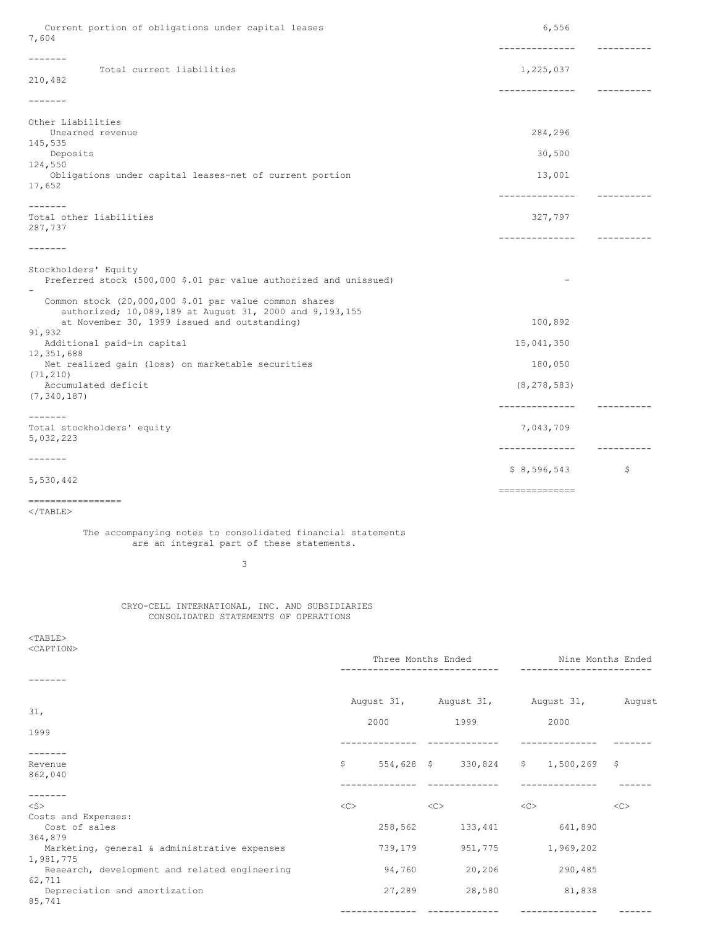| Current portion of obligations under capital leases<br>7,604                                             |                    |                        | 6,556                            |                   |
|----------------------------------------------------------------------------------------------------------|--------------------|------------------------|----------------------------------|-------------------|
| $- - - - - - -$                                                                                          |                    |                        | --------------                   | ----------        |
| Total current liabilities<br>210,482                                                                     |                    |                        | 1,225,037                        |                   |
|                                                                                                          |                    |                        | ---------------                  | -----------       |
| -------                                                                                                  |                    |                        |                                  |                   |
| Other Liabilities<br>Unearned revenue                                                                    |                    |                        | 284,296                          |                   |
| 145,535<br>Deposits                                                                                      |                    |                        | 30,500                           |                   |
| 124,550<br>Obligations under capital leases-net of current portion                                       |                    |                        | 13,001                           |                   |
| 17,652                                                                                                   |                    |                        |                                  |                   |
| -------                                                                                                  |                    |                        |                                  |                   |
| Total other liabilities<br>287,737                                                                       |                    |                        | 327,797                          |                   |
| -------                                                                                                  |                    |                        | --------------                   | -----------       |
|                                                                                                          |                    |                        |                                  |                   |
| Stockholders' Equity<br>Preferred stock (500,000 \$.01 par value authorized and unissued)                |                    |                        |                                  |                   |
| Common stock (20,000,000 \$.01 par value common shares                                                   |                    |                        |                                  |                   |
| authorized; 10,089,189 at August 31, 2000 and 9,193,155<br>at November 30, 1999 issued and outstanding)  |                    |                        | 100,892                          |                   |
| 91,932                                                                                                   |                    |                        |                                  |                   |
| Additional paid-in capital<br>12,351,688                                                                 |                    |                        | 15,041,350                       |                   |
| Net realized gain (loss) on marketable securities<br>(71, 210)                                           |                    |                        | 180,050                          |                   |
| Accumulated deficit<br>(7, 340, 187)                                                                     |                    |                        | (8, 278, 583)                    |                   |
| $- - - - - - -$                                                                                          |                    |                        |                                  |                   |
| Total stockholders' equity                                                                               |                    |                        | 7,043,709                        |                   |
| 5,032,223                                                                                                |                    |                        |                                  |                   |
| $\cdots\cdots\cdots\cdots$                                                                               |                    |                        | \$8,596,543                      | -\$               |
| 5,530,442                                                                                                |                    |                        | ---------------                  |                   |
| =================                                                                                        |                    |                        |                                  |                   |
| $\langle$ /TABLE>                                                                                        |                    |                        |                                  |                   |
| The accompanying notes to consolidated financial statements<br>are an integral part of these statements. |                    |                        |                                  |                   |
| 3                                                                                                        |                    |                        |                                  |                   |
|                                                                                                          |                    |                        |                                  |                   |
| CRYO-CELL INTERNATIONAL, INC. AND SUBSIDIARIES<br>CONSOLIDATED STATEMENTS OF OPERATIONS                  |                    |                        |                                  |                   |
| $TABLE$                                                                                                  |                    |                        |                                  |                   |
| <caption></caption>                                                                                      |                    |                        |                                  |                   |
|                                                                                                          | Three Months Ended | ---------------------- | --------------------             | Nine Months Ended |
| -------                                                                                                  |                    |                        |                                  |                   |
| 31,                                                                                                      |                    |                        | August 31, August 31, August 31, | August            |

1999

-------<br>Revenue 862,040

-------<br><S> Costs and Expenses:<br>Cost of sales 364,879 Marketing, general & administrative expenses 739,179 951,775 1,969,202 1,981,775 Research, development and related engineering 94,760 20,206 290,485 62,711 Depreciation and amortization 27,289 28,580 81,838 85,741

-------------- ------------- -------------- ------

2000 1999 2000

-------------- ------------- -------------- -------

-------------- ------------- -------------- ------

 $$54,628$$   $$330,824$   $$1,500,269$  \$

 $\langle$ C>  $\langle$ C>  $\langle$ C>  $\langle$ C>  $\langle$ C>  $\langle$ C>

258,562 133,441 641,890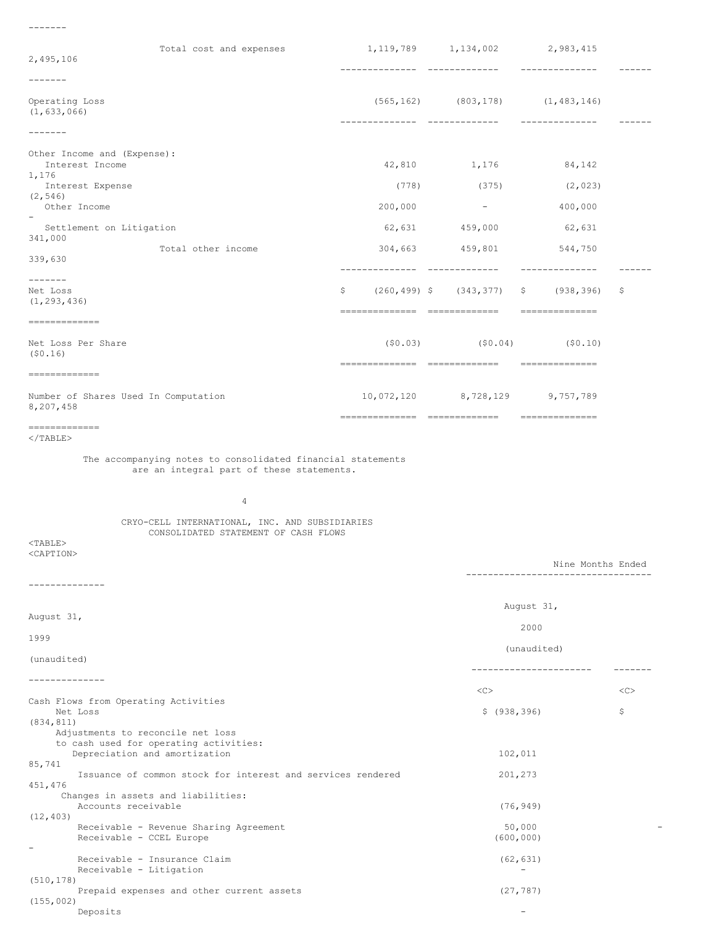-------

| Total cost and expenses                                                                |                              | 1, 119, 789 1, 134, 002 2, 983, 415          |                                      |                 |
|----------------------------------------------------------------------------------------|------------------------------|----------------------------------------------|--------------------------------------|-----------------|
| 2,495,106                                                                              | -------------- ------------- |                                              | --------------                       |                 |
| ------                                                                                 |                              |                                              |                                      |                 |
| Operating Loss<br>(1, 633, 066)                                                        | -------------- ------------- | $(565, 162)$ $(803, 178)$ $(1, 483, 146)$    | ---------------                      |                 |
| $- - - - - - -$                                                                        |                              |                                              |                                      |                 |
| Other Income and (Expense):<br>Interest Income                                         |                              | 42,810 1,176                                 | 84,142                               |                 |
| 1,176<br>Interest Expense                                                              |                              | $(778)$ $(375)$                              | (2, 023)                             |                 |
| (2, 546)<br>Other Income                                                               | 200,000                      | and the state of the state of                | 400,000                              |                 |
| Settlement on Litigation                                                               |                              | 62,631 459,000                               | 62,631                               |                 |
| 341,000<br>Total other income                                                          |                              | 304,663 459,801 544,750                      |                                      |                 |
| 339,630                                                                                |                              |                                              | --------------                       | $- - - - - - -$ |
| $- - - - - - -$<br>Net Loss<br>(1, 293, 436)                                           | \$                           | $(260, 499)$ \$ $(343, 377)$ \$ $(938, 396)$ |                                      | \$.             |
|                                                                                        |                              |                                              |                                      |                 |
| Net Loss Per Share<br>(50.16)                                                          |                              | $(50.03)$ $(50.04)$ $(50.10)$                |                                      |                 |
|                                                                                        |                              |                                              |                                      |                 |
| Number of Shares Used In Computation<br>8,207,458                                      |                              | 10,072,120 8,728,129 9,757,789               |                                      |                 |
| =============<br>$\langle$ /TABLE>                                                     |                              |                                              |                                      |                 |
|                                                                                        |                              |                                              |                                      |                 |
| $\overline{4}$                                                                         |                              |                                              |                                      |                 |
| CRYO-CELL INTERNATIONAL, INC. AND SUBSIDIARIES<br>CONSOLIDATED STATEMENT OF CASH FLOWS |                              |                                              |                                      |                 |
| $<$ TABLE><br><caption></caption>                                                      |                              |                                              |                                      |                 |
|                                                                                        |                              |                                              | Nine Months Ended                    |                 |
| ------------                                                                           |                              |                                              |                                      |                 |
| August 31,                                                                             |                              |                                              | August 31,                           |                 |
| 1999                                                                                   |                              |                                              | 2000                                 |                 |
| (unaudited)                                                                            |                              |                                              | (unaudited)<br>_____________________ |                 |
| -------------                                                                          |                              |                                              |                                      |                 |
| Cash Flows from Operating Activities<br>Net Loss                                       |                              | $<\infty$<br>\$ (938, 396)                   |                                      | $<$ C $>$<br>\$ |
| (834, 811)<br>Adjustments to reconcile net loss                                        |                              |                                              |                                      |                 |
| to cash used for operating activities:<br>Depreciation and amortization                |                              | 102,011                                      |                                      |                 |
| 85,741<br>Issuance of common stock for interest and services rendered                  |                              | 201,273                                      |                                      |                 |
| 451,476<br>Changes in assets and liabilities:<br>Accounts receivable                   |                              | (76, 949)                                    |                                      |                 |
| (12, 403)<br>Receivable - Revenue Sharing Agreement<br>Receivable - CCEL Europe        |                              | 50,000<br>(600, 000)                         |                                      |                 |
| Receivable - Insurance Claim<br>Receivable - Litigation                                |                              | (62, 631)                                    |                                      |                 |
| (510, 178)<br>Prepaid expenses and other current assets<br>(155, 002)                  |                              | (27, 787)                                    |                                      |                 |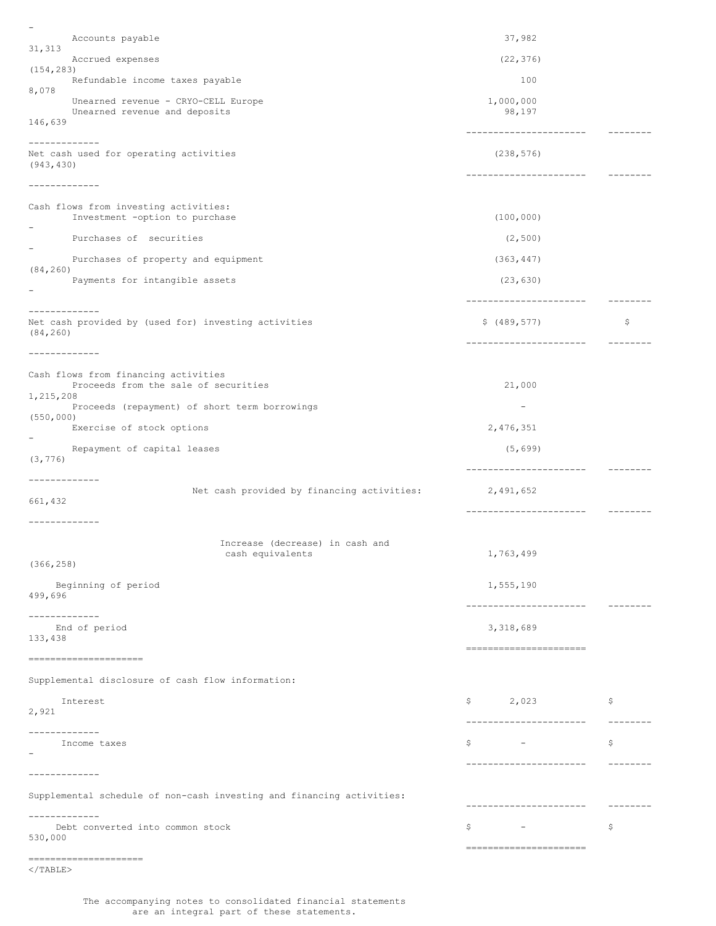- Accounts payable 37,982 31,313 Accrued expenses (22,376) (154,283) Refundable income taxes payable 100 8,078 Unearned revenue - CRYO-CELL Europe 1,000,000<br>Unearned revenue and deposits 98.197 Unearned revenue and deposits 146,639 ---------------------- -------- ------------- Net cash used for operating activities (238,576) (943,430) ---------------------- -------- ------------- Cash flows from investing activities: Investment -option to purchase (100,000) - Purchases of securities (2,500) - Purchases of property and equipment (363,447) (84,260) Payments for intangible assets (23,630) - ---------------------- -------- ------------- Net cash provided by (used for) investing activities  $\zeta$  (489,577) \$ (489,577) (84,260) ---------------------- -------- ------------- Cash flows from financing activities Proceeds from the sale of securities 21,000 1,215,208 Proceeds (repayment) of short term borrowings -(550,000) Exercise of stock options 2,476,351 - Repayment of capital leases (5,699) (3,776) ---------------------- -------- ------------- Net cash provided by financing activities: 2,491,652 661,432 ---------------------- -------- ------------- Increase (decrease) in cash and cash equivalents 1,763,499 (366,258) Beginning of period 1,555,190 499,696 ---------------------- -------- ------------- End of period 3,318,689 133,438 ====================== ===================== Supplemental disclosure of cash flow information: Interest \$ 2,023 \$ 2,921 ---------------------- -------- ------------- Income taxes  $\zeta$  -  $\zeta$ - ---------------------- -------- ------------- Supplemental schedule of non-cash investing and financing activities: ---------------------- -------- ------------- Debt converted into common stock  $\zeta =$ 530,000 ====================== ===================== </TABLE>

The accompanying notes to consolidated financial statements are an integral part of these statements.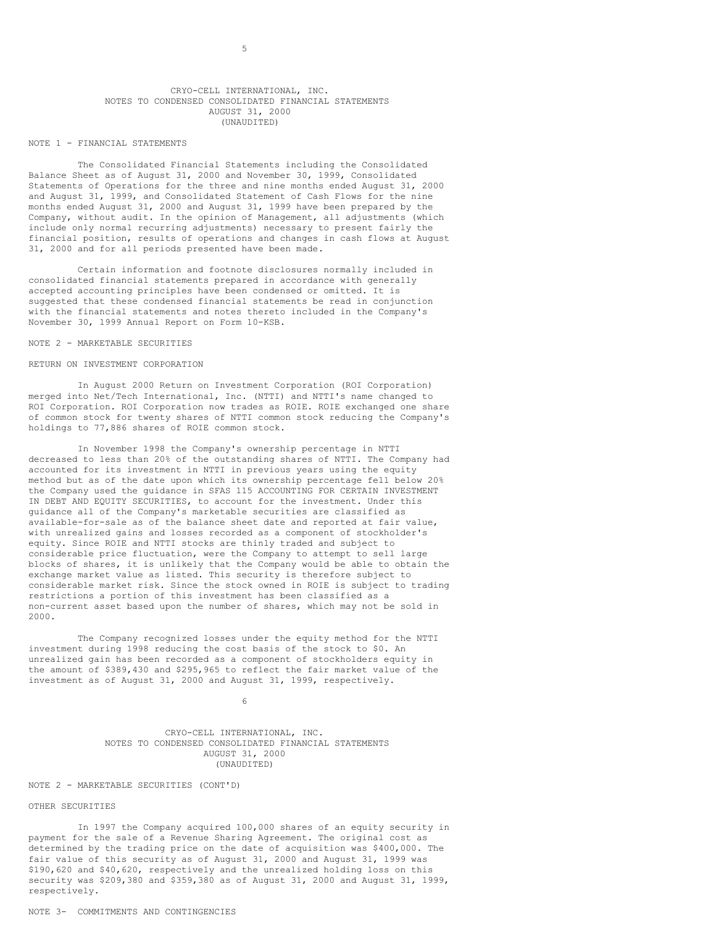## CRYO-CELL INTERNATIONAL, INC. NOTES TO CONDENSED CONSOLIDATED FINANCIAL STATEMENTS AUGUST 31, 2000 (UNAUDITED)

### NOTE 1 - FINANCIAL STATEMENTS

The Consolidated Financial Statements including the Consolidated Balance Sheet as of August 31, 2000 and November 30, 1999, Consolidated Statements of Operations for the three and nine months ended August 31, 2000 and August 31, 1999, and Consolidated Statement of Cash Flows for the nine months ended August 31, 2000 and August 31, 1999 have been prepared by the Company, without audit. In the opinion of Management, all adjustments (which include only normal recurring adjustments) necessary to present fairly the financial position, results of operations and changes in cash flows at August 31, 2000 and for all periods presented have been made.

Certain information and footnote disclosures normally included in consolidated financial statements prepared in accordance with generally accepted accounting principles have been condensed or omitted. It is suggested that these condensed financial statements be read in conjunction with the financial statements and notes thereto included in the Company's November 30, 1999 Annual Report on Form 10-KSB.

#### NOTE 2 - MARKETABLE SECURITIES

# RETURN ON INVESTMENT CORPORATION

In August 2000 Return on Investment Corporation (ROI Corporation) merged into Net/Tech International, Inc. (NTTI) and NTTI's name changed to ROI Corporation. ROI Corporation now trades as ROIE. ROIE exchanged one share of common stock for twenty shares of NTTI common stock reducing the Company's holdings to 77,886 shares of ROIE common stock.

In November 1998 the Company's ownership percentage in NTTI decreased to less than 20% of the outstanding shares of NTTI. The Company had accounted for its investment in NTTI in previous years using the equity method but as of the date upon which its ownership percentage fell below 20% the Company used the guidance in SFAS 115 ACCOUNTING FOR CERTAIN INVESTMENT IN DEBT AND EQUITY SECURITIES, to account for the investment. Under this guidance all of the Company's marketable securities are classified as available-for-sale as of the balance sheet date and reported at fair value, with unrealized gains and losses recorded as a component of stockholder's equity. Since ROIE and NTTI stocks are thinly traded and subject to considerable price fluctuation, were the Company to attempt to sell large blocks of shares, it is unlikely that the Company would be able to obtain the exchange market value as listed. This security is therefore subject to considerable market risk. Since the stock owned in ROIE is subject to trading restrictions a portion of this investment has been classified as a non-current asset based upon the number of shares, which may not be sold in 2000.

The Company recognized losses under the equity method for the NTTI investment during 1998 reducing the cost basis of the stock to \$0. An unrealized gain has been recorded as a component of stockholders equity in the amount of \$389,430 and \$295,965 to reflect the fair market value of the investment as of August 31, 2000 and August 31, 1999, respectively.

6

CRYO-CELL INTERNATIONAL, INC. NOTES TO CONDENSED CONSOLIDATED FINANCIAL STATEMENTS AUGUST 31, 2000 (UNAUDITED)

# NOTE 2 - MARKETABLE SECURITIES (CONT'D)

#### OTHER SECURITIES

In 1997 the Company acquired 100,000 shares of an equity security in payment for the sale of a Revenue Sharing Agreement. The original cost as determined by the trading price on the date of acquisition was \$400,000. The fair value of this security as of August 31, 2000 and August 31, 1999 was \$190,620 and \$40,620, respectively and the unrealized holding loss on this security was \$209,380 and \$359,380 as of August 31, 2000 and August 31, 1999, respectively.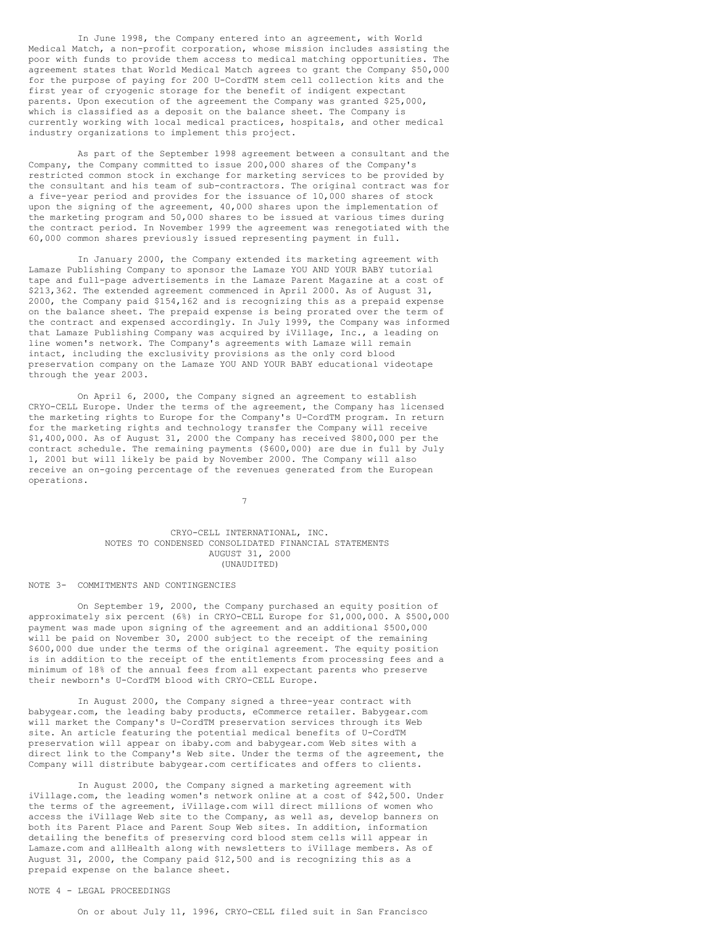In June 1998, the Company entered into an agreement, with World Medical Match, a non-profit corporation, whose mission includes assisting the poor with funds to provide them access to medical matching opportunities. The agreement states that World Medical Match agrees to grant the Company \$50,000 for the purpose of paying for 200 U-CordTM stem cell collection kits and the first year of cryogenic storage for the benefit of indigent expectant parents. Upon execution of the agreement the Company was granted \$25,000, which is classified as a deposit on the balance sheet. The Company is currently working with local medical practices, hospitals, and other medical industry organizations to implement this project.

As part of the September 1998 agreement between a consultant and the Company, the Company committed to issue 200,000 shares of the Company's restricted common stock in exchange for marketing services to be provided by the consultant and his team of sub-contractors. The original contract was for a five-year period and provides for the issuance of 10,000 shares of stock upon the signing of the agreement, 40,000 shares upon the implementation of the marketing program and 50,000 shares to be issued at various times during the contract period. In November 1999 the agreement was renegotiated with the 60,000 common shares previously issued representing payment in full.

In January 2000, the Company extended its marketing agreement with Lamaze Publishing Company to sponsor the Lamaze YOU AND YOUR BABY tutorial tape and full-page advertisements in the Lamaze Parent Magazine at a cost of \$213,362. The extended agreement commenced in April 2000. As of August 31, 2000, the Company paid \$154,162 and is recognizing this as a prepaid expense on the balance sheet. The prepaid expense is being prorated over the term of the contract and expensed accordingly. In July 1999, the Company was informed that Lamaze Publishing Company was acquired by iVillage, Inc., a leading on line women's network. The Company's agreements with Lamaze will remain intact, including the exclusivity provisions as the only cord blood preservation company on the Lamaze YOU AND YOUR BABY educational videotape through the year 2003.

On April 6, 2000, the Company signed an agreement to establish CRYO-CELL Europe. Under the terms of the agreement, the Company has licensed the marketing rights to Europe for the Company's U-CordTM program. In return for the marketing rights and technology transfer the Company will receive \$1,400,000. As of August 31, 2000 the Company has received \$800,000 per the contract schedule. The remaining payments (\$600,000) are due in full by July 1, 2001 but will likely be paid by November 2000. The Company will also receive an on-going percentage of the revenues generated from the European operations.

7

# CRYO-CELL INTERNATIONAL, INC. NOTES TO CONDENSED CONSOLIDATED FINANCIAL STATEMENTS AUGUST 31, 2000 (UNAUDITED)

#### NOTE 3- COMMITMENTS AND CONTINGENCIES

On September 19, 2000, the Company purchased an equity position of approximately six percent (6%) in CRYO-CELL Europe for \$1,000,000. A \$500,000 payment was made upon signing of the agreement and an additional \$500,000 will be paid on November 30, 2000 subject to the receipt of the remaining \$600,000 due under the terms of the original agreement. The equity position is in addition to the receipt of the entitlements from processing fees and a minimum of 18% of the annual fees from all expectant parents who preserve their newborn's U-CordTM blood with CRYO-CELL Europe.

In August 2000, the Company signed a three-year contract with babygear.com, the leading baby products, eCommerce retailer. Babygear.com will market the Company's U-CordTM preservation services through its Web site. An article featuring the potential medical benefits of U-CordTM preservation will appear on ibaby.com and babygear.com Web sites with a direct link to the Company's Web site. Under the terms of the agreement, the Company will distribute babygear.com certificates and offers to clients.

In August 2000, the Company signed a marketing agreement with iVillage.com, the leading women's network online at a cost of \$42,500. Under the terms of the agreement, iVillage.com will direct millions of women who access the iVillage Web site to the Company, as well as, develop banners on both its Parent Place and Parent Soup Web sites. In addition, information detailing the benefits of preserving cord blood stem cells will appear in Lamaze.com and allHealth along with newsletters to iVillage members. As of August 31, 2000, the Company paid \$12,500 and is recognizing this as a prepaid expense on the balance sheet.

#### NOTE 4 - LEGAL PROCEEDINGS

On or about July 11, 1996, CRYO-CELL filed suit in San Francisco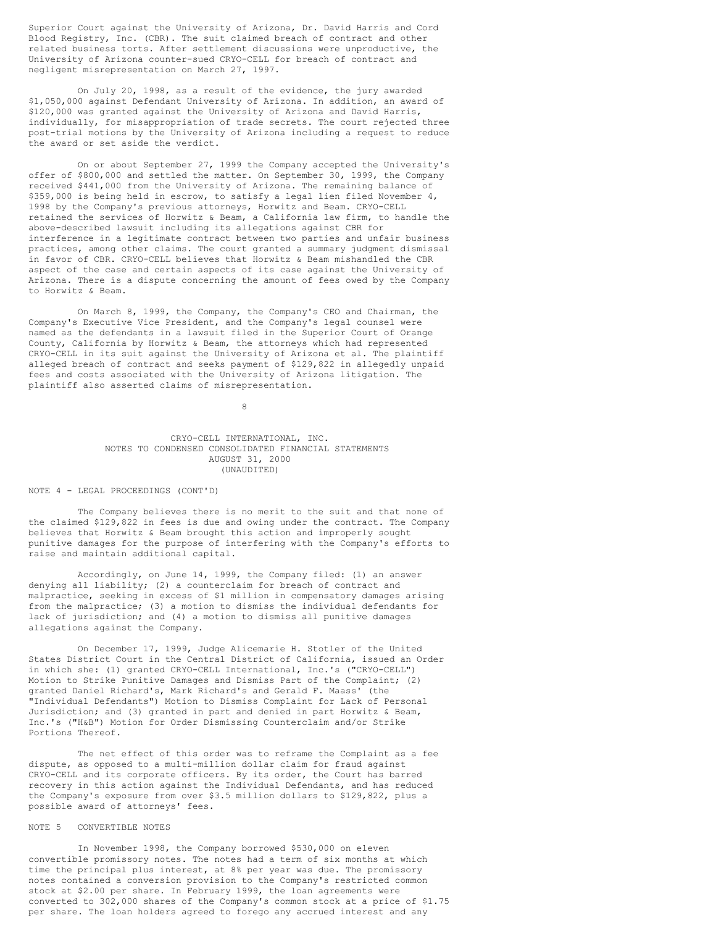Superior Court against the University of Arizona, Dr. David Harris and Cord Blood Registry, Inc. (CBR). The suit claimed breach of contract and other related business torts. After settlement discussions were unproductive, the University of Arizona counter-sued CRYO-CELL for breach of contract and negligent misrepresentation on March 27, 1997.

On July 20, 1998, as a result of the evidence, the jury awarded \$1,050,000 against Defendant University of Arizona. In addition, an award of \$120,000 was granted against the University of Arizona and David Harris, individually, for misappropriation of trade secrets. The court rejected three post-trial motions by the University of Arizona including a request to reduce the award or set aside the verdict.

On or about September 27, 1999 the Company accepted the University's offer of \$800,000 and settled the matter. On September 30, 1999, the Company received \$441,000 from the University of Arizona. The remaining balance of \$359,000 is being held in escrow, to satisfy a legal lien filed November 4, 1998 by the Company's previous attorneys, Horwitz and Beam. CRYO-CELL retained the services of Horwitz & Beam, a California law firm, to handle the above-described lawsuit including its allegations against CBR for interference in a legitimate contract between two parties and unfair business practices, among other claims. The court granted a summary judgment dismissal in favor of CBR. CRYO-CELL believes that Horwitz & Beam mishandled the CBR aspect of the case and certain aspects of its case against the University of Arizona. There is a dispute concerning the amount of fees owed by the Company to Horwitz & Beam.

On March 8, 1999, the Company, the Company's CEO and Chairman, the Company's Executive Vice President, and the Company's legal counsel were named as the defendants in a lawsuit filed in the Superior Court of Orange County, California by Horwitz & Beam, the attorneys which had represented CRYO-CELL in its suit against the University of Arizona et al. The plaintiff alleged breach of contract and seeks payment of \$129,822 in allegedly unpaid fees and costs associated with the University of Arizona litigation. The plaintiff also asserted claims of misrepresentation.

8

# CRYO-CELL INTERNATIONAL, INC. NOTES TO CONDENSED CONSOLIDATED FINANCIAL STATEMENTS AUGUST 31, 2000 (UNAUDITED)

## NOTE 4 - LEGAL PROCEEDINGS (CONT'D)

The Company believes there is no merit to the suit and that none of the claimed \$129,822 in fees is due and owing under the contract. The Company believes that Horwitz & Beam brought this action and improperly sought punitive damages for the purpose of interfering with the Company's efforts to raise and maintain additional capital.

Accordingly, on June 14, 1999, the Company filed: (1) an answer denying all liability; (2) a counterclaim for breach of contract and malpractice, seeking in excess of \$1 million in compensatory damages arising from the malpractice; (3) a motion to dismiss the individual defendants for lack of jurisdiction; and (4) a motion to dismiss all punitive damages allegations against the Company.

On December 17, 1999, Judge Alicemarie H. Stotler of the United States District Court in the Central District of California, issued an Order in which she: (1) granted CRYO-CELL International, Inc.'s ("CRYO-CELL") Motion to Strike Punitive Damages and Dismiss Part of the Complaint; (2) granted Daniel Richard's, Mark Richard's and Gerald F. Maass' (the "Individual Defendants") Motion to Dismiss Complaint for Lack of Personal Jurisdiction; and (3) granted in part and denied in part Horwitz & Beam, Inc.'s ("H&B") Motion for Order Dismissing Counterclaim and/or Strike Portions Thereof.

The net effect of this order was to reframe the Complaint as a fee dispute, as opposed to a multi-million dollar claim for fraud against CRYO-CELL and its corporate officers. By its order, the Court has barred recovery in this action against the Individual Defendants, and has reduced the Company's exposure from over \$3.5 million dollars to \$129,822, plus a possible award of attorneys' fees.

## NOTE 5 CONVERTIBLE NOTES

In November 1998, the Company borrowed \$530,000 on eleven convertible promissory notes. The notes had a term of six months at which time the principal plus interest, at 8% per year was due. The promissory notes contained a conversion provision to the Company's restricted common stock at \$2.00 per share. In February 1999, the loan agreements were converted to 302,000 shares of the Company's common stock at a price of \$1.75 per share. The loan holders agreed to forego any accrued interest and any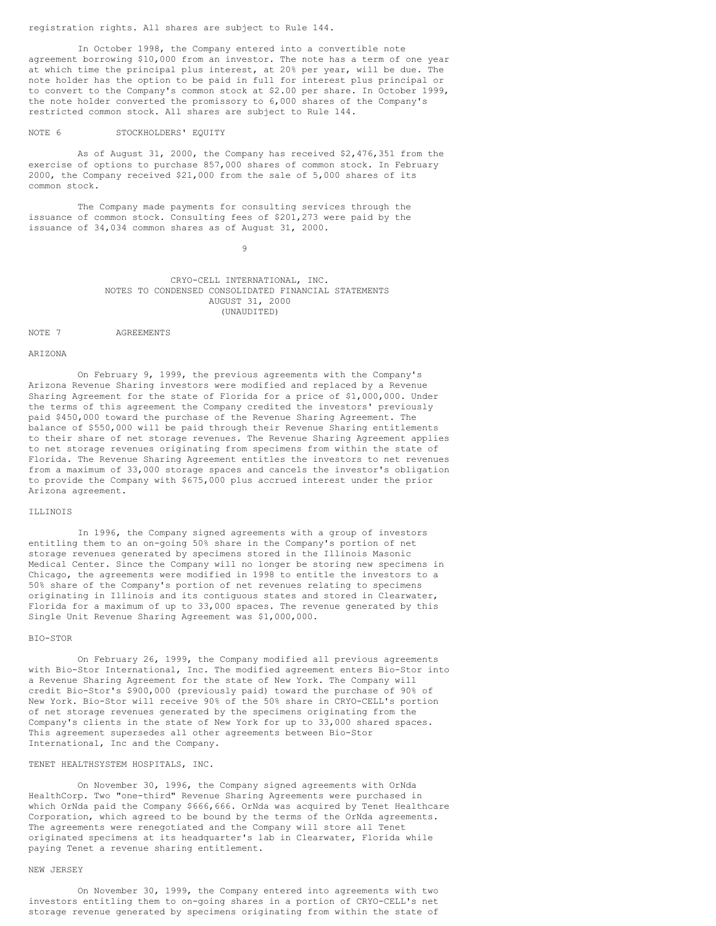registration rights. All shares are subject to Rule 144.

In October 1998, the Company entered into a convertible note agreement borrowing \$10,000 from an investor. The note has a term of one year at which time the principal plus interest, at 20% per year, will be due. The note holder has the option to be paid in full for interest plus principal or to convert to the Company's common stock at \$2.00 per share. In October 1999, the note holder converted the promissory to 6,000 shares of the Company's restricted common stock. All shares are subject to Rule 144.

# NOTE 6 STOCKHOLDERS' EQUITY

As of August 31, 2000, the Company has received \$2,476,351 from the exercise of options to purchase 857,000 shares of common stock. In February 2000, the Company received \$21,000 from the sale of 5,000 shares of its common stock.

The Company made payments for consulting services through the issuance of common stock. Consulting fees of \$201,273 were paid by the issuance of 34,034 common shares as of August 31, 2000.

9

CRYO-CELL INTERNATIONAL, INC. NOTES TO CONDENSED CONSOLIDATED FINANCIAL STATEMENTS AUGUST 31, 2000 (UNAUDITED)

NOTE 7 AGREEMENTS

#### ARIZONA

On February 9, 1999, the previous agreements with the Company's Arizona Revenue Sharing investors were modified and replaced by a Revenue Sharing Agreement for the state of Florida for a price of \$1,000,000. Under the terms of this agreement the Company credited the investors' previously paid \$450,000 toward the purchase of the Revenue Sharing Agreement. The balance of \$550,000 will be paid through their Revenue Sharing entitlements to their share of net storage revenues. The Revenue Sharing Agreement applies to net storage revenues originating from specimens from within the state of Florida. The Revenue Sharing Agreement entitles the investors to net revenues from a maximum of 33,000 storage spaces and cancels the investor's obligation to provide the Company with \$675,000 plus accrued interest under the prior Arizona agreement.

#### ILLINOIS

In 1996, the Company signed agreements with a group of investors entitling them to an on-going 50% share in the Company's portion of net storage revenues generated by specimens stored in the Illinois Masonic Medical Center. Since the Company will no longer be storing new specimens in Chicago, the agreements were modified in 1998 to entitle the investors to a 50% share of the Company's portion of net revenues relating to specimens originating in Illinois and its contiguous states and stored in Clearwater, Florida for a maximum of up to 33,000 spaces. The revenue generated by this Single Unit Revenue Sharing Agreement was \$1,000,000.

#### BIO-STOR

On February 26, 1999, the Company modified all previous agreements with Bio-Stor International, Inc. The modified agreement enters Bio-Stor into a Revenue Sharing Agreement for the state of New York. The Company will credit Bio-Stor's \$900,000 (previously paid) toward the purchase of 90% of New York. Bio-Stor will receive 90% of the 50% share in CRYO-CELL's portion of net storage revenues generated by the specimens originating from the Company's clients in the state of New York for up to 33,000 shared spaces. This agreement supersedes all other agreements between Bio-Stor International, Inc and the Company.

## TENET HEALTHSYSTEM HOSPITALS, INC.

On November 30, 1996, the Company signed agreements with OrNda HealthCorp. Two "one-third" Revenue Sharing Agreements were purchased in which OrNda paid the Company \$666,666. OrNda was acquired by Tenet Healthcare Corporation, which agreed to be bound by the terms of the OrNda agreements. The agreements were renegotiated and the Company will store all Tenet originated specimens at its headquarter's lab in Clearwater, Florida while paying Tenet a revenue sharing entitlement.

#### NEW JERSEY

On November 30, 1999, the Company entered into agreements with two investors entitling them to on-going shares in a portion of CRYO-CELL's net storage revenue generated by specimens originating from within the state of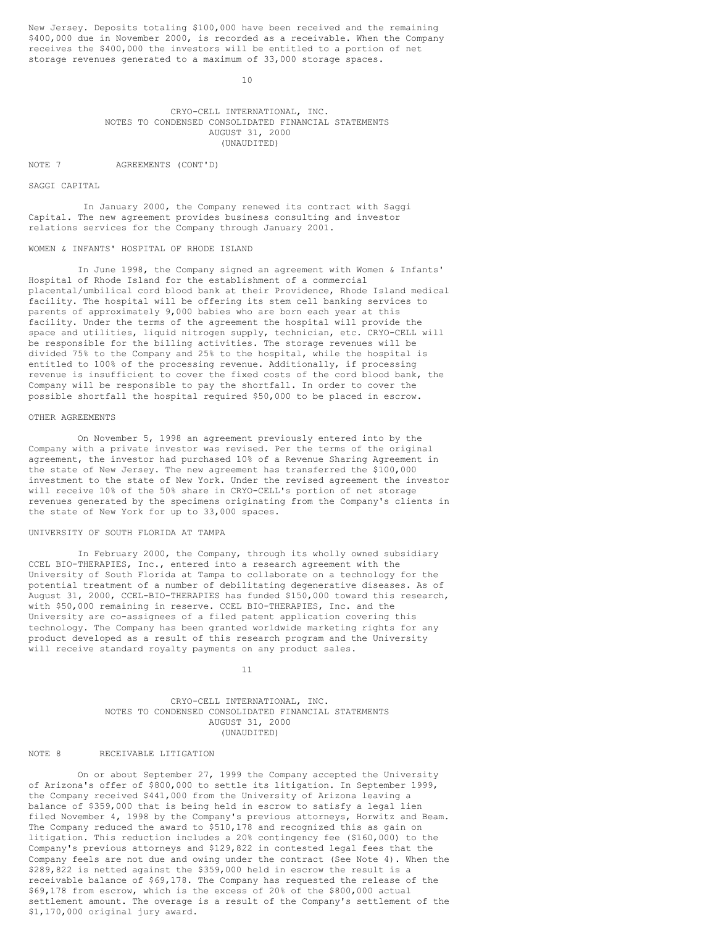New Jersey. Deposits totaling \$100,000 have been received and the remaining \$400,000 due in November 2000, is recorded as a receivable. When the Company receives the \$400,000 the investors will be entitled to a portion of net storage revenues generated to a maximum of 33,000 storage spaces.

10

CRYO-CELL INTERNATIONAL, INC. NOTES TO CONDENSED CONSOLIDATED FINANCIAL STATEMENTS AUGUST 31, 2000 (UNAUDITED)

NOTE 7 AGREEMENTS (CONT'D)

SAGGI CAPITAL

In January 2000, the Company renewed its contract with Saggi Capital. The new agreement provides business consulting and investor relations services for the Company through January 2001.

# WOMEN & INFANTS' HOSPITAL OF RHODE ISLAND

In June 1998, the Company signed an agreement with Women & Infants' Hospital of Rhode Island for the establishment of a commercial placental/umbilical cord blood bank at their Providence, Rhode Island medical facility. The hospital will be offering its stem cell banking services to parents of approximately 9,000 babies who are born each year at this facility. Under the terms of the agreement the hospital will provide the space and utilities, liquid nitrogen supply, technician, etc. CRYO-CELL will be responsible for the billing activities. The storage revenues will be divided 75% to the Company and 25% to the hospital, while the hospital is entitled to 100% of the processing revenue. Additionally, if processing revenue is insufficient to cover the fixed costs of the cord blood bank, the Company will be responsible to pay the shortfall. In order to cover the possible shortfall the hospital required \$50,000 to be placed in escrow.

## OTHER AGREEMENTS

On November 5, 1998 an agreement previously entered into by the Company with a private investor was revised. Per the terms of the original agreement, the investor had purchased 10% of a Revenue Sharing Agreement in the state of New Jersey. The new agreement has transferred the \$100,000 investment to the state of New York. Under the revised agreement the investor will receive 10% of the 50% share in CRYO-CELL's portion of net storage revenues generated by the specimens originating from the Company's clients in the state of New York for up to 33,000 spaces.

#### UNIVERSITY OF SOUTH FLORIDA AT TAMPA

In February 2000, the Company, through its wholly owned subsidiary CCEL BIO-THERAPIES, Inc., entered into a research agreement with the University of South Florida at Tampa to collaborate on a technology for the potential treatment of a number of debilitating degenerative diseases. As of August 31, 2000, CCEL-BIO-THERAPIES has funded \$150,000 toward this research, with \$50,000 remaining in reserve. CCEL BIO-THERAPIES, Inc. and the University are co-assignees of a filed patent application covering this technology. The Company has been granted worldwide marketing rights for any product developed as a result of this research program and the University will receive standard royalty payments on any product sales.

11

## CRYO-CELL INTERNATIONAL, INC. NOTES TO CONDENSED CONSOLIDATED FINANCIAL STATEMENTS AUGUST 31, 2000 (UNAUDITED)

# NOTE 8 RECEIVABLE LITIGATION

On or about September 27, 1999 the Company accepted the University of Arizona's offer of \$800,000 to settle its litigation. In September 1999, the Company received \$441,000 from the University of Arizona leaving a balance of \$359,000 that is being held in escrow to satisfy a legal lien filed November 4, 1998 by the Company's previous attorneys, Horwitz and Beam. The Company reduced the award to \$510,178 and recognized this as gain on litigation. This reduction includes a 20% contingency fee (\$160,000) to the Company's previous attorneys and \$129,822 in contested legal fees that the Company feels are not due and owing under the contract (See Note 4). When the \$289,822 is netted against the \$359,000 held in escrow the result is a receivable balance of \$69,178. The Company has requested the release of the \$69,178 from escrow, which is the excess of 20% of the \$800,000 actual settlement amount. The overage is a result of the Company's settlement of the \$1,170,000 original jury award.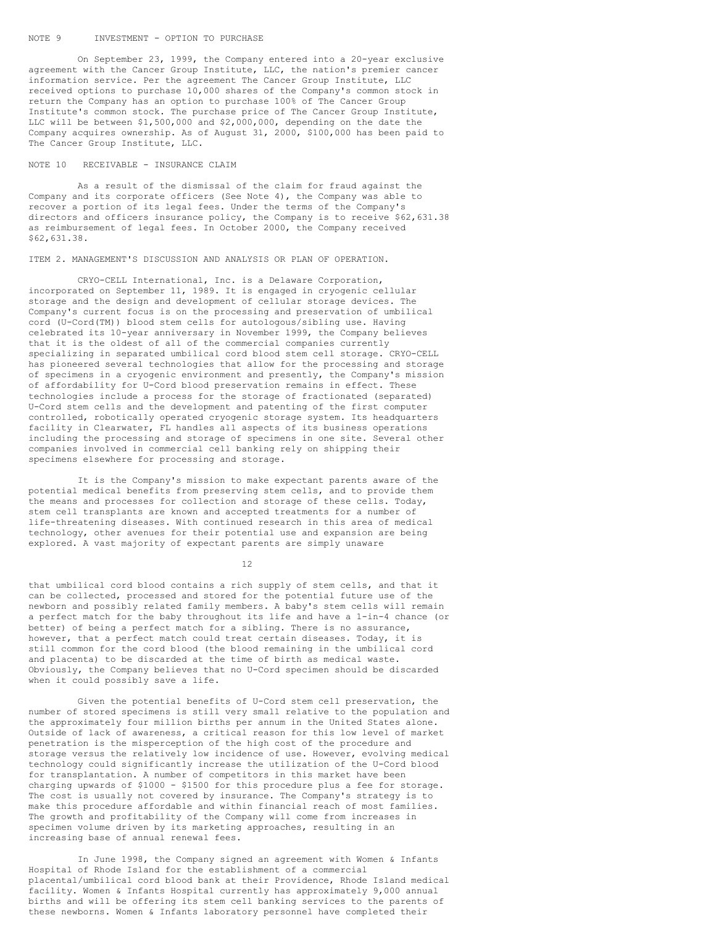#### NOTE 9 INVESTMENT - OPTION TO PURCHASE

On September 23, 1999, the Company entered into a 20-year exclusive agreement with the Cancer Group Institute, LLC, the nation's premier cancer information service. Per the agreement The Cancer Group Institute, LLC received options to purchase 10,000 shares of the Company's common stock in return the Company has an option to purchase 100% of The Cancer Group Institute's common stock. The purchase price of The Cancer Group Institute, LLC will be between \$1,500,000 and \$2,000,000, depending on the date the Company acquires ownership. As of August 31, 2000, \$100,000 has been paid to The Cancer Group Institute, LLC.

## NOTE 10 RECEIVABLE - INSURANCE CLAIM

As a result of the dismissal of the claim for fraud against the Company and its corporate officers (See Note 4), the Company was able to recover a portion of its legal fees. Under the terms of the Company's directors and officers insurance policy, the Company is to receive \$62,631.38 as reimbursement of legal fees. In October 2000, the Company received \$62,631.38.

ITEM 2. MANAGEMENT'S DISCUSSION AND ANALYSIS OR PLAN OF OPERATION.

CRYO-CELL International, Inc. is a Delaware Corporation, incorporated on September 11, 1989. It is engaged in cryogenic cellular storage and the design and development of cellular storage devices. The Company's current focus is on the processing and preservation of umbilical cord (U-Cord(TM)) blood stem cells for autologous/sibling use. Having celebrated its 10-year anniversary in November 1999, the Company believes that it is the oldest of all of the commercial companies currently specializing in separated umbilical cord blood stem cell storage. CRYO-CELL has pioneered several technologies that allow for the processing and storage of specimens in a cryogenic environment and presently, the Company's mission of affordability for U-Cord blood preservation remains in effect. These technologies include a process for the storage of fractionated (separated) U-Cord stem cells and the development and patenting of the first computer controlled, robotically operated cryogenic storage system. Its headquarters facility in Clearwater, FL handles all aspects of its business operations including the processing and storage of specimens in one site. Several other companies involved in commercial cell banking rely on shipping their specimens elsewhere for processing and storage.

It is the Company's mission to make expectant parents aware of the potential medical benefits from preserving stem cells, and to provide them the means and processes for collection and storage of these cells. Today, stem cell transplants are known and accepted treatments for a number of life-threatening diseases. With continued research in this area of medical technology, other avenues for their potential use and expansion are being explored. A vast majority of expectant parents are simply unaware

12

that umbilical cord blood contains a rich supply of stem cells, and that it can be collected, processed and stored for the potential future use of the newborn and possibly related family members. A baby's stem cells will remain a perfect match for the baby throughout its life and have a 1-in-4 chance (or better) of being a perfect match for a sibling. There is no assurance, however, that a perfect match could treat certain diseases. Today, it is still common for the cord blood (the blood remaining in the umbilical cord and placenta) to be discarded at the time of birth as medical waste. Obviously, the Company believes that no U-Cord specimen should be discarded when it could possibly save a life.

Given the potential benefits of U-Cord stem cell preservation, the number of stored specimens is still very small relative to the population and the approximately four million births per annum in the United States alone. Outside of lack of awareness, a critical reason for this low level of market penetration is the misperception of the high cost of the procedure and storage versus the relatively low incidence of use. However, evolving medical technology could significantly increase the utilization of the U-Cord blood for transplantation. A number of competitors in this market have been charging upwards of \$1000 - \$1500 for this procedure plus a fee for storage. The cost is usually not covered by insurance. The Company's strategy is to make this procedure affordable and within financial reach of most families. The growth and profitability of the Company will come from increases in specimen volume driven by its marketing approaches, resulting in an increasing base of annual renewal fees.

In June 1998, the Company signed an agreement with Women & Infants Hospital of Rhode Island for the establishment of a commercial placental/umbilical cord blood bank at their Providence, Rhode Island medical facility. Women & Infants Hospital currently has approximately 9,000 annual births and will be offering its stem cell banking services to the parents of these newborns. Women & Infants laboratory personnel have completed their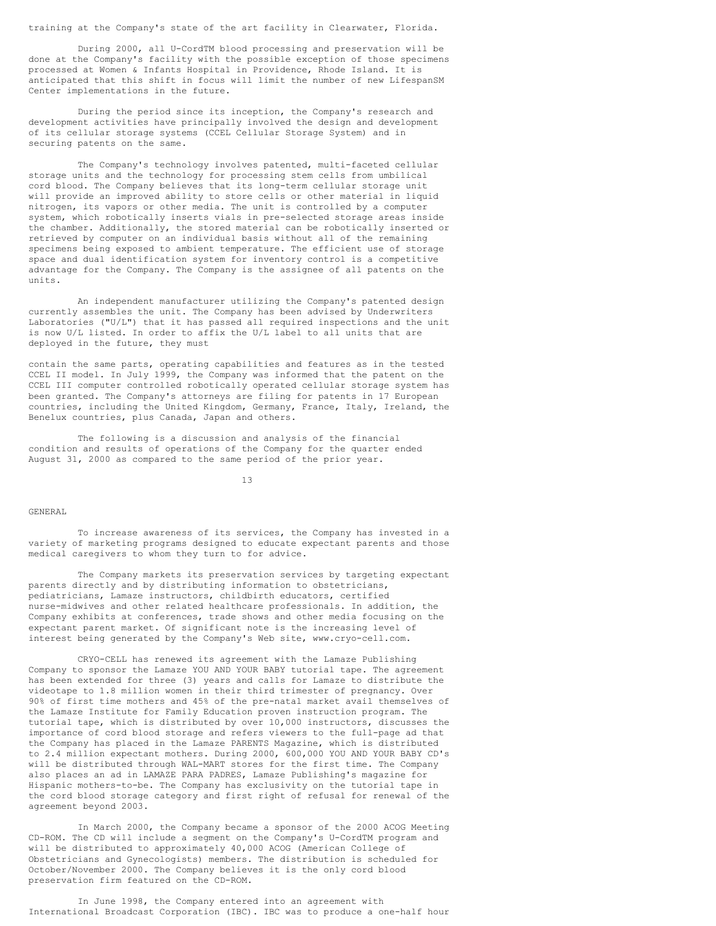training at the Company's state of the art facility in Clearwater, Florida.

During 2000, all U-CordTM blood processing and preservation will be done at the Company's facility with the possible exception of those specimens processed at Women & Infants Hospital in Providence, Rhode Island. It is anticipated that this shift in focus will limit the number of new LifespanSM Center implementations in the future.

During the period since its inception, the Company's research and development activities have principally involved the design and development of its cellular storage systems (CCEL Cellular Storage System) and in securing patents on the same.

The Company's technology involves patented, multi-faceted cellular storage units and the technology for processing stem cells from umbilical cord blood. The Company believes that its long-term cellular storage unit will provide an improved ability to store cells or other material in liquid nitrogen, its vapors or other media. The unit is controlled by a computer system, which robotically inserts vials in pre-selected storage areas inside the chamber. Additionally, the stored material can be robotically inserted or retrieved by computer on an individual basis without all of the remaining specimens being exposed to ambient temperature. The efficient use of storage space and dual identification system for inventory control is a competitive advantage for the Company. The Company is the assignee of all patents on the units.

An independent manufacturer utilizing the Company's patented design currently assembles the unit. The Company has been advised by Underwriters Laboratories ("U/L") that it has passed all required inspections and the unit is now U/L listed. In order to affix the U/L label to all units that are deployed in the future, they must

contain the same parts, operating capabilities and features as in the tested CCEL II model. In July 1999, the Company was informed that the patent on the CCEL III computer controlled robotically operated cellular storage system has been granted. The Company's attorneys are filing for patents in 17 European countries, including the United Kingdom, Germany, France, Italy, Ireland, the Benelux countries, plus Canada, Japan and others.

The following is a discussion and analysis of the financial condition and results of operations of the Company for the quarter ended August 31, 2000 as compared to the same period of the prior year.

13

#### GENERAL

To increase awareness of its services, the Company has invested in a variety of marketing programs designed to educate expectant parents and those medical caregivers to whom they turn to for advice.

The Company markets its preservation services by targeting expectant parents directly and by distributing information to obstetricians, pediatricians, Lamaze instructors, childbirth educators, certified .<br>nurse-midwives and other related healthcare professionals. In addition, the Company exhibits at conferences, trade shows and other media focusing on the expectant parent market. Of significant note is the increasing level of interest being generated by the Company's Web site, www.cryo-cell.com.

CRYO-CELL has renewed its agreement with the Lamaze Publishing Company to sponsor the Lamaze YOU AND YOUR BABY tutorial tape. The agreement has been extended for three (3) years and calls for Lamaze to distribute the videotape to 1.8 million women in their third trimester of pregnancy. Over 90% of first time mothers and 45% of the pre-natal market avail themselves of the Lamaze Institute for Family Education proven instruction program. The tutorial tape, which is distributed by over 10,000 instructors, discusses the importance of cord blood storage and refers viewers to the full-page ad that the Company has placed in the Lamaze PARENTS Magazine, which is distributed to 2.4 million expectant mothers. During 2000, 600,000 YOU AND YOUR BABY CD's will be distributed through WAL-MART stores for the first time. The Company also places an ad in LAMAZE PARA PADRES, Lamaze Publishing's magazine for Hispanic mothers-to-be. The Company has exclusivity on the tutorial tape in the cord blood storage category and first right of refusal for renewal of the agreement beyond 2003.

In March 2000, the Company became a sponsor of the 2000 ACOG Meeting CD-ROM. The CD will include a segment on the Company's U-CordTM program and will be distributed to approximately 40,000 ACOG (American College of Obstetricians and Gynecologists) members. The distribution is scheduled for October/November 2000. The Company believes it is the only cord blood preservation firm featured on the CD-ROM.

In June 1998, the Company entered into an agreement with International Broadcast Corporation (IBC). IBC was to produce a one-half hour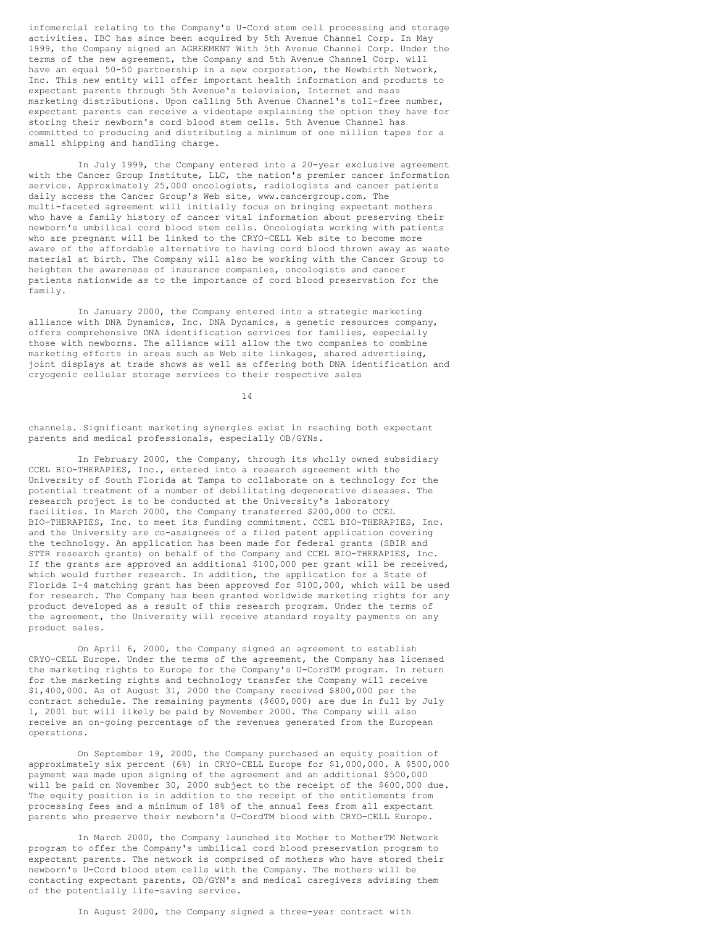infomercial relating to the Company's U-Cord stem cell processing and storage activities. IBC has since been acquired by 5th Avenue Channel Corp. In May 1999, the Company signed an AGREEMENT With 5th Avenue Channel Corp. Under the terms of the new agreement, the Company and 5th Avenue Channel Corp. will have an equal 50-50 partnership in a new corporation, the Newbirth Network, Inc. This new entity will offer important health information and products to expectant parents through 5th Avenue's television, Internet and mass marketing distributions. Upon calling 5th Avenue Channel's toll-free number, expectant parents can receive a videotape explaining the option they have for storing their newborn's cord blood stem cells. 5th Avenue Channel has committed to producing and distributing a minimum of one million tapes for a small shipping and handling charge.

In July 1999, the Company entered into a 20-year exclusive agreement with the Cancer Group Institute, LLC, the nation's premier cancer information service. Approximately 25,000 oncologists, radiologists and cancer patients daily access the Cancer Group's Web site, www.cancergroup.com. The multi-faceted agreement will initially focus on bringing expectant mothers who have a family history of cancer vital information about preserving their newborn's umbilical cord blood stem cells. Oncologists working with patients who are pregnant will be linked to the CRYO-CELL Web site to become more aware of the affordable alternative to having cord blood thrown away as waste material at birth. The Company will also be working with the Cancer Group to heighten the awareness of insurance companies, oncologists and cancer patients nationwide as to the importance of cord blood preservation for the family.

In January 2000, the Company entered into a strategic marketing alliance with DNA Dynamics, Inc. DNA Dynamics, a genetic resources company, offers comprehensive DNA identification services for families, especially those with newborns. The alliance will allow the two companies to combine marketing efforts in areas such as Web site linkages, shared advertising, joint displays at trade shows as well as offering both DNA identification and cryogenic cellular storage services to their respective sales

14

channels. Significant marketing synergies exist in reaching both expectant parents and medical professionals, especially OB/GYNs.

In February 2000, the Company, through its wholly owned subsidiary CCEL BIO-THERAPIES, Inc., entered into a research agreement with the University of South Florida at Tampa to collaborate on a technology for the potential treatment of a number of debilitating degenerative diseases. The research project is to be conducted at the University's laboratory facilities. In March 2000, the Company transferred \$200,000 to CCEL BIO-THERAPIES, Inc. to meet its funding commitment. CCEL BIO-THERAPIES, Inc. and the University are co-assignees of a filed patent application covering the technology. An application has been made for federal grants (SBIR and STTR research grants) on behalf of the Company and CCEL BIO-THERAPIES, Inc. If the grants are approved an additional \$100,000 per grant will be received, which would further research. In addition, the application for a State of Florida I-4 matching grant has been approved for \$100,000, which will be used for research. The Company has been granted worldwide marketing rights for any product developed as a result of this research program. Under the terms of the agreement, the University will receive standard royalty payments on any product sales.

On April 6, 2000, the Company signed an agreement to establish CRYO-CELL Europe. Under the terms of the agreement, the Company has licensed the marketing rights to Europe for the Company's U-CordTM program. In return for the marketing rights and technology transfer the Company will receive \$1,400,000. As of August 31, 2000 the Company received \$800,000 per the contract schedule. The remaining payments (\$600,000) are due in full by July 1, 2001 but will likely be paid by November 2000. The Company will also receive an on-going percentage of the revenues generated from the European operations.

On September 19, 2000, the Company purchased an equity position of approximately six percent (6%) in CRYO-CELL Europe for \$1,000,000. A \$500,000 payment was made upon signing of the agreement and an additional \$500,000 will be paid on November 30, 2000 subject to the receipt of the \$600,000 due. The equity position is in addition to the receipt of the entitlements from processing fees and a minimum of 18% of the annual fees from all expectant parents who preserve their newborn's U-CordTM blood with CRYO-CELL Europe.

In March 2000, the Company launched its Mother to MotherTM Network program to offer the Company's umbilical cord blood preservation program to expectant parents. The network is comprised of mothers who have stored their newborn's U-Cord blood stem cells with the Company. The mothers will be contacting expectant parents, OB/GYN's and medical caregivers advising them of the potentially life-saving service.

In August 2000, the Company signed a three-year contract with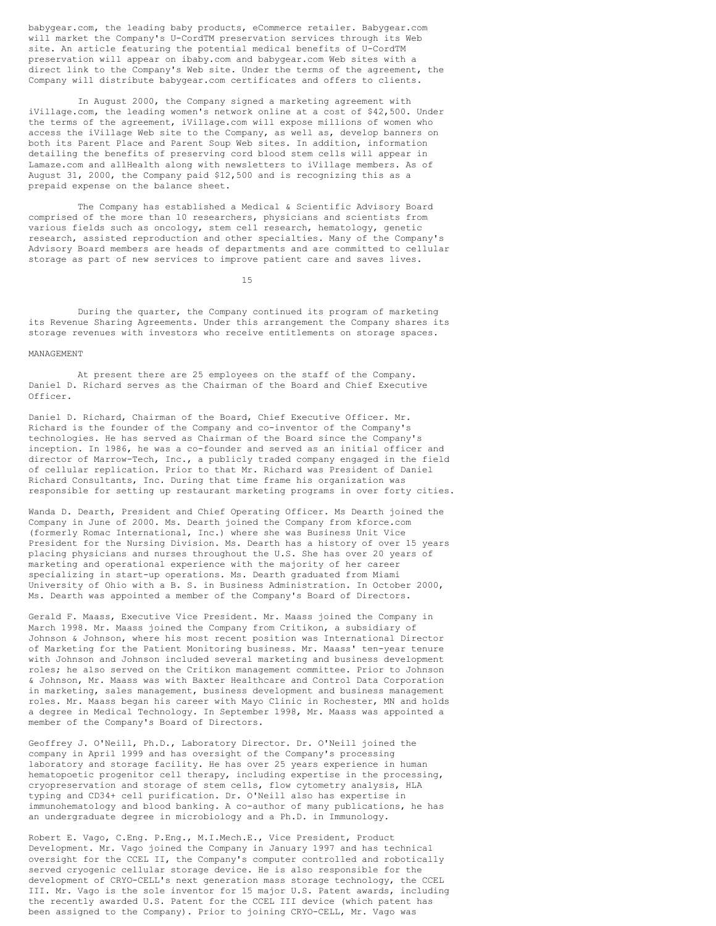babygear.com, the leading baby products, eCommerce retailer. Babygear.com will market the Company's U-CordTM preservation services through its Web site. An article featuring the potential medical benefits of U-CordTM preservation will appear on ibaby.com and babygear.com Web sites with a direct link to the Company's Web site. Under the terms of the agreement, the Company will distribute babygear.com certificates and offers to clients.

In August 2000, the Company signed a marketing agreement with iVillage.com, the leading women's network online at a cost of \$42,500. Under the terms of the agreement, iVillage.com will expose millions of women who access the iVillage Web site to the Company, as well as, develop banners on both its Parent Place and Parent Soup Web sites. In addition, information detailing the benefits of preserving cord blood stem cells will appear in Lamaze.com and allHealth along with newsletters to iVillage members. As of August 31, 2000, the Company paid \$12,500 and is recognizing this as a prepaid expense on the balance sheet.

The Company has established a Medical & Scientific Advisory Board comprised of the more than 10 researchers, physicians and scientists from various fields such as oncology, stem cell research, hematology, genetic research, assisted reproduction and other specialties. Many of the Company's Advisory Board members are heads of departments and are committed to cellular storage as part of new services to improve patient care and saves lives.

15

During the quarter, the Company continued its program of marketing its Revenue Sharing Agreements. Under this arrangement the Company shares its storage revenues with investors who receive entitlements on storage spaces.

#### MANAGEMENT

At present there are 25 employees on the staff of the Company. Daniel D. Richard serves as the Chairman of the Board and Chief Executive Officer.

Daniel D. Richard, Chairman of the Board, Chief Executive Officer. Mr. Richard is the founder of the Company and co-inventor of the Company's technologies. He has served as Chairman of the Board since the Company's inception. In 1986, he was a co-founder and served as an initial officer and director of Marrow-Tech, Inc., a publicly traded company engaged in the field of cellular replication. Prior to that Mr. Richard was President of Daniel Richard Consultants, Inc. During that time frame his organization was responsible for setting up restaurant marketing programs in over forty cities.

Wanda D. Dearth, President and Chief Operating Officer. Ms Dearth joined the Company in June of 2000. Ms. Dearth joined the Company from kforce.com (formerly Romac International, Inc.) where she was Business Unit Vice President for the Nursing Division. Ms. Dearth has a history of over 15 years placing physicians and nurses throughout the U.S. She has over 20 years of marketing and operational experience with the majority of her career specializing in start-up operations. Ms. Dearth graduated from Miami University of Ohio with a B. S. in Business Administration. In October 2000, Ms. Dearth was appointed a member of the Company's Board of Directors.

Gerald F. Maass, Executive Vice President. Mr. Maass joined the Company in March 1998. Mr. Maass joined the Company from Critikon, a subsidiary of Johnson & Johnson, where his most recent position was International Director of Marketing for the Patient Monitoring business. Mr. Maass' ten-year tenure with Johnson and Johnson included several marketing and business development roles; he also served on the Critikon management committee. Prior to Johnson & Johnson, Mr. Maass was with Baxter Healthcare and Control Data Corporation in marketing, sales management, business development and business management roles. Mr. Maass began his career with Mayo Clinic in Rochester, MN and holds a degree in Medical Technology. In September 1998, Mr. Maass was appointed a member of the Company's Board of Directors.

Geoffrey J. O'Neill, Ph.D., Laboratory Director. Dr. O'Neill joined the company in April 1999 and has oversight of the Company's processing laboratory and storage facility. He has over 25 years experience in human hematopoetic progenitor cell therapy, including expertise in the processing, cryopreservation and storage of stem cells, flow cytometry analysis, HLA typing and CD34+ cell purification. Dr. O'Neill also has expertise in immunohematology and blood banking. A co-author of many publications, he has an undergraduate degree in microbiology and a Ph.D. in Immunology.

Robert E. Vago, C.Eng. P.Eng., M.I.Mech.E., Vice President, Product Development. Mr. Vago joined the Company in January 1997 and has technical oversight for the CCEL II, the Company's computer controlled and robotically served cryogenic cellular storage device. He is also responsible for the development of CRYO-CELL's next generation mass storage technology, the CCEL III. Mr. Vago is the sole inventor for 15 major U.S. Patent awards, including the recently awarded U.S. Patent for the CCEL III device (which patent has been assigned to the Company). Prior to joining CRYO-CELL, Mr. Vago was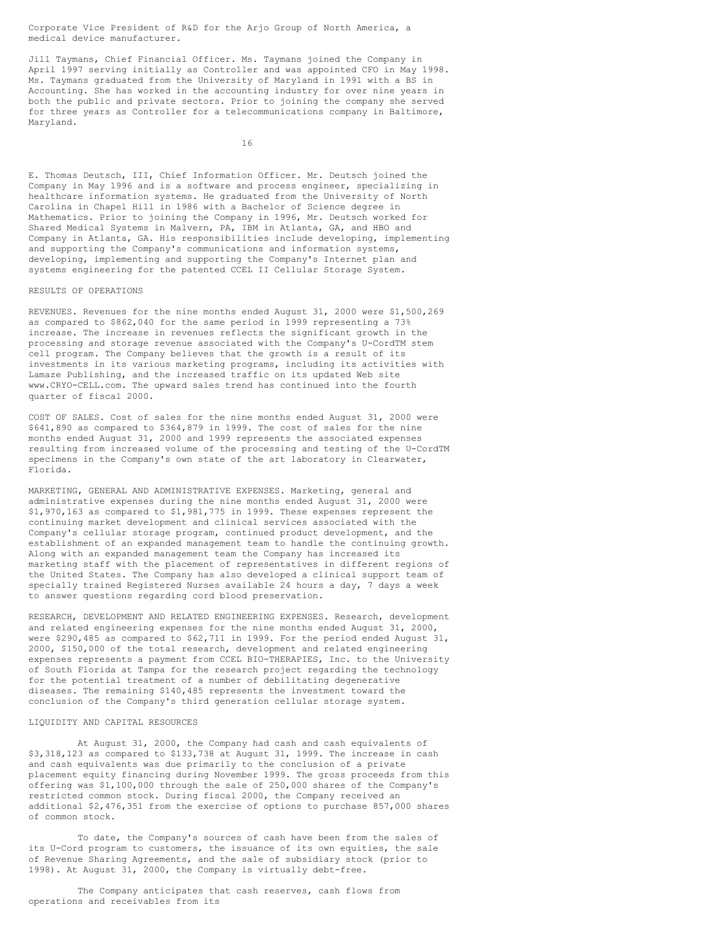Corporate Vice President of R&D for the Arjo Group of North America, a medical device manufacturer.

Jill Taymans, Chief Financial Officer. Ms. Taymans joined the Company in April 1997 serving initially as Controller and was appointed CFO in May 1998. Ms. Taymans graduated from the University of Maryland in 1991 with a BS in Accounting. She has worked in the accounting industry for over nine years in both the public and private sectors. Prior to joining the company she served for three years as Controller for a telecommunications company in Baltimore, Maryland.

16

E. Thomas Deutsch, III, Chief Information Officer. Mr. Deutsch joined the Company in May 1996 and is a software and process engineer, specializing in healthcare information systems. He graduated from the University of North Carolina in Chapel Hill in 1986 with a Bachelor of Science degree in Mathematics. Prior to joining the Company in 1996, Mr. Deutsch worked for Shared Medical Systems in Malvern, PA, IBM in Atlanta, GA, and HBO and Company in Atlanta, GA. His responsibilities include developing, implementing and supporting the Company's communications and information systems, developing, implementing and supporting the Company's Internet plan and systems engineering for the patented CCEL II Cellular Storage System.

## RESULTS OF OPERATIONS

REVENUES. Revenues for the nine months ended August 31, 2000 were \$1,500,269 as compared to \$862,040 for the same period in 1999 representing a 73% increase. The increase in revenues reflects the significant growth in the processing and storage revenue associated with the Company's U-CordTM stem cell program. The Company believes that the growth is a result of its investments in its various marketing programs, including its activities with Lamaze Publishing, and the increased traffic on its updated Web site www.CRYO-CELL.com. The upward sales trend has continued into the fourth quarter of fiscal 2000.

COST OF SALES. Cost of sales for the nine months ended August 31, 2000 were \$641,890 as compared to \$364,879 in 1999. The cost of sales for the nine months ended August 31, 2000 and 1999 represents the associated expenses resulting from increased volume of the processing and testing of the U-CordTM specimens in the Company's own state of the art laboratory in Clearwater, Florida.

MARKETING, GENERAL AND ADMINISTRATIVE EXPENSES. Marketing, general and administrative expenses during the nine months ended August 31, 2000 were \$1,970,163 as compared to \$1,981,775 in 1999. These expenses represent the continuing market development and clinical services associated with the Company's cellular storage program, continued product development, and the establishment of an expanded management team to handle the continuing growth. Along with an expanded management team the Company has increased its marketing staff with the placement of representatives in different regions of the United States. The Company has also developed a clinical support team of specially trained Registered Nurses available 24 hours a day, 7 days a week to answer questions regarding cord blood preservation.

RESEARCH, DEVELOPMENT AND RELATED ENGINEERING EXPENSES. Research, development and related engineering expenses for the nine months ended August 31, 2000, were \$290,485 as compared to \$62,711 in 1999. For the period ended August 31, 2000, \$150,000 of the total research, development and related engineering expenses represents a payment from CCEL BIO-THERAPIES, Inc. to the University of South Florida at Tampa for the research project regarding the technology for the potential treatment of a number of debilitating degenerative diseases. The remaining \$140,485 represents the investment toward the conclusion of the Company's third generation cellular storage system.

## LIQUIDITY AND CAPITAL RESOURCES

At August 31, 2000, the Company had cash and cash equivalents of \$3,318,123 as compared to \$133,738 at August 31, 1999. The increase in cash and cash equivalents was due primarily to the conclusion of a private placement equity financing during November 1999. The gross proceeds from this offering was \$1,100,000 through the sale of 250,000 shares of the Company's restricted common stock. During fiscal 2000, the Company received an additional \$2,476,351 from the exercise of options to purchase 857,000 shares of common stock.

To date, the Company's sources of cash have been from the sales of its U-Cord program to customers, the issuance of its own equities, the sale of Revenue Sharing Agreements, and the sale of subsidiary stock (prior to 1998). At August 31, 2000, the Company is virtually debt-free.

The Company anticipates that cash reserves, cash flows from operations and receivables from its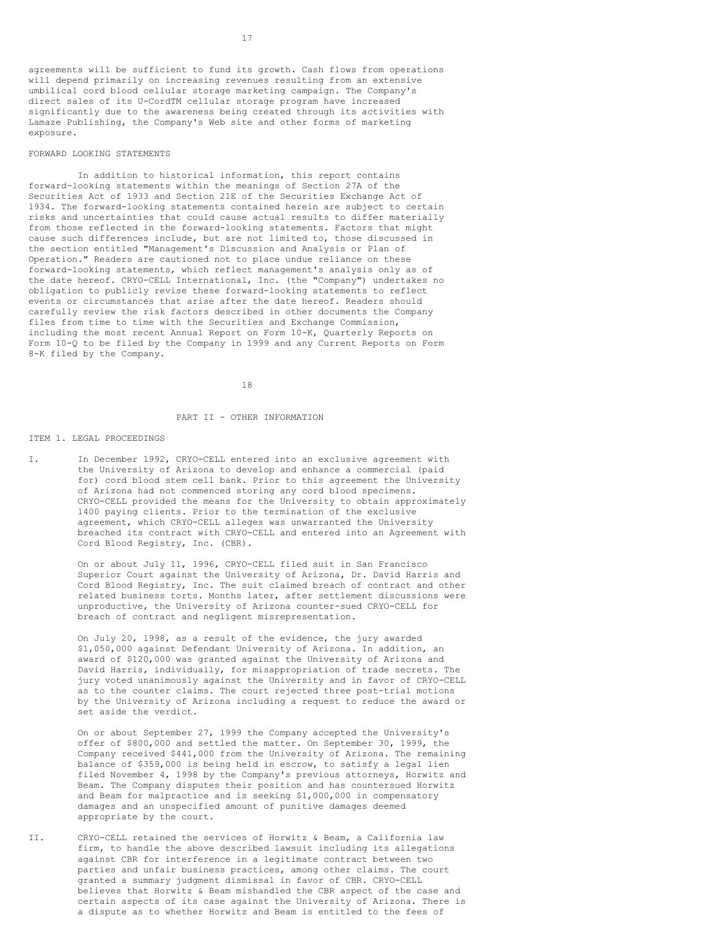agreements will be sufficient to fund its growth. Cash flows from operations will depend primarily on increasing revenues resulting from an extensive umbilical cord blood cellular storage marketing campaign. The Company's direct sales of its U-CordTM cellular storage program have increased significantly due to the awareness being created through its activities with Lamaze Publishing, the Company's Web site and other forms of marketing exposure.

#### FORWARD LOOKING STATEMENTS

In addition to historical information, this report contains forward-looking statements within the meanings of Section 27A of the Securities Act of 1933 and Section 21E of the Securities Exchange Act of 1934. The forward-looking statements contained herein are subject to certain risks and uncertainties that could cause actual results to differ materially from those reflected in the forward-looking statements. Factors that might cause such differences include, but are not limited to, those discussed in the section entitled "Management's Discussion and Analysis or Plan of Operation." Readers are cautioned not to place undue reliance on these forward-looking statements, which reflect management's analysis only as of the date hereof. CRYO-CELL International, Inc. (the "Company") undertakes no obligation to publicly revise these forward-looking statements to reflect events or circumstances that arise after the date hereof. Readers should carefully review the risk factors described in other documents the Company files from time to time with the Securities and Exchange Commission, including the most recent Annual Report on Form 10-K, Quarterly Reports on Form 10-Q to be filed by the Company in 1999 and any Current Reports on Form 8-K filed by the Company.

18

#### PART II - OTHER INFORMATION

#### ITEM 1. LEGAL PROCEEDINGS

I. In December 1992, CRYO-CELL entered into an exclusive agreement with the University of Arizona to develop and enhance a commercial (paid for) cord blood stem cell bank. Prior to this agreement the University of Arizona had not commenced storing any cord blood specimens. CRYO-CELL provided the means for the University to obtain approximately 1400 paying clients. Prior to the termination of the exclusive agreement, which CRYO-CELL alleges was unwarranted the University breached its contract with CRYO-CELL and entered into an Agreement with Cord Blood Registry, Inc. (CBR).

> On or about July 11, 1996, CRYO-CELL filed suit in San Francisco Superior Court against the University of Arizona, Dr. David Harris and Cord Blood Registry, Inc. The suit claimed breach of contract and other related business torts. Months later, after settlement discussions were unproductive, the University of Arizona counter-sued CRYO-CELL for breach of contract and negligent misrepresentation.

> On July 20, 1998, as a result of the evidence, the jury awarded \$1,050,000 against Defendant University of Arizona. In addition, an award of \$120,000 was granted against the University of Arizona and David Harris, individually, for misappropriation of trade secrets. The jury voted unanimously against the University and in favor of CRYO-CELL as to the counter claims. The court rejected three post-trial motions by the University of Arizona including a request to reduce the award or set aside the verdict.

> On or about September 27, 1999 the Company accepted the University's offer of \$800,000 and settled the matter. On September 30, 1999, the Company received \$441,000 from the University of Arizona. The remaining balance of \$359,000 is being held in escrow, to satisfy a legal lien filed November 4, 1998 by the Company's previous attorneys, Horwitz and Beam. The Company disputes their position and has countersued Horwitz and Beam for malpractice and is seeking \$1,000,000 in compensatory damages and an unspecified amount of punitive damages deemed appropriate by the court.

II. CRYO-CELL retained the services of Horwitz & Beam, a California law firm, to handle the above described lawsuit including its allegations against CBR for interference in a legitimate contract between two parties and unfair business practices, among other claims. The court granted a summary judgment dismissal in favor of CBR. CRYO-CELL believes that Horwitz & Beam mishandled the CBR aspect of the case and certain aspects of its case against the University of Arizona. There is a dispute as to whether Horwitz and Beam is entitled to the fees of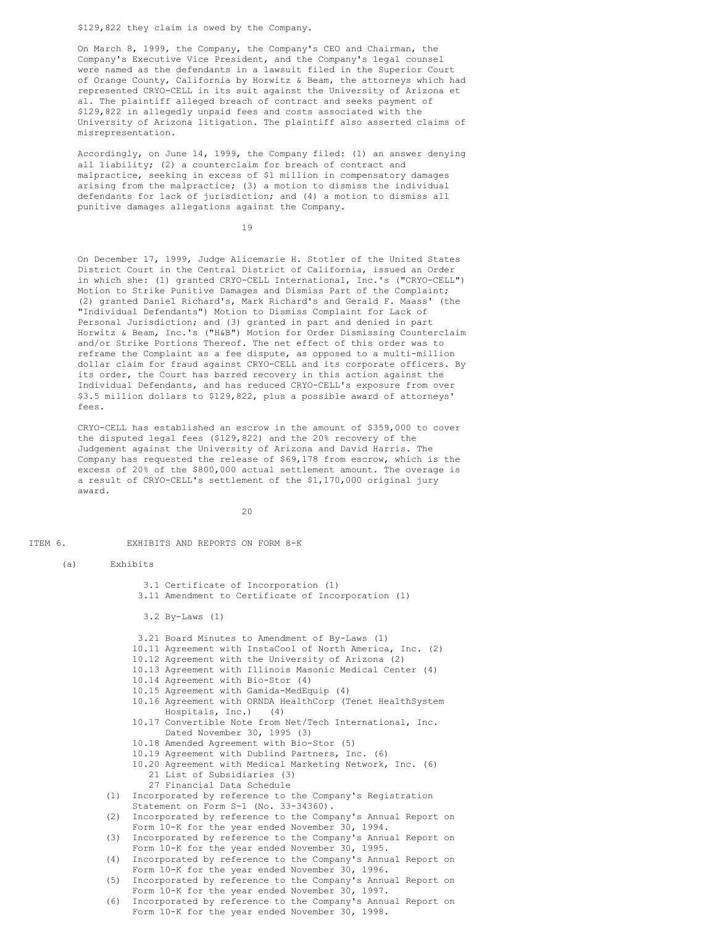\$129,822 they claim is owed by the Company.

On March 8, 1999, the Company, the Company's CEO and Chairman, the Company's Executive Vice President, and the Company's legal counsel were named as the defendants in a lawsuit filed in the Superior Court of Orange County, California by Horwitz & Beam, the attorneys which had represented CRYO-CELL in its suit against the University of Arizona et al. The plaintiff alleged breach of contract and seeks payment of \$129,822 in allegedly unpaid fees and costs associated with the University of Arizona litigation. The plaintiff also asserted claims of misrepresentation.

Accordingly, on June 14, 1999, the Company filed: (1) an answer denying all liability; (2) a counterclaim for breach of contract and malpractice, seeking in excess of \$1 million in compensatory damages arising from the malpractice; (3) a motion to dismiss the individual defendants for lack of jurisdiction; and (4) a motion to dismiss all punitive damages allegations against the Company.

19

On December 17, 1999, Judge Alicemarie H. Stotler of the United States District Court in the Central District of California, issued an Order in which she: (1) granted CRYO-CELL International, Inc.'s ("CRYO-CELL") Motion to Strike Punitive Damages and Dismiss Part of the Complaint; (2) granted Daniel Richard's, Mark Richard's and Gerald F. Maass' (the "Individual Defendants") Motion to Dismiss Complaint for Lack of Personal Jurisdiction; and (3) granted in part and denied in part Horwitz & Beam, Inc.'s ("H&B") Motion for Order Dismissing Counterclaim and/or Strike Portions Thereof. The net effect of this order was to reframe the Complaint as a fee dispute, as opposed to a multi-million dollar claim for fraud against CRYO-CELL and its corporate officers. By its order, the Court has barred recovery in this action against the Individual Defendants, and has reduced CRYO-CELL's exposure from over \$3.5 million dollars to \$129,822, plus a possible award of attorneys' fees.

CRYO-CELL has established an escrow in the amount of \$359,000 to cover the disputed legal fees (\$129,822) and the 20% recovery of the Judgement against the University of Arizona and David Harris. The Company has requested the release of \$69,178 from escrow, which is the excess of 20% of the \$800,000 actual settlement amount. The overage is a result of CRYO-CELL's settlement of the \$1,170,000 original jury award.

 $20$ 

ITEM 6. EXHIBITS AND REPORTS ON FORM 8-K

(a) Exhibits

3.1 Certificate of Incorporation (1) 3.11 Amendment to Certificate of Incorporation (1) 3.2 By-Laws (1) 3.21 Board Minutes to Amendment of By-Laws (1) 10.11 Agreement with InstaCool of North America, Inc. (2) 10.12 Agreement with the University of Arizona (2) 10.13 Agreement with Illinois Masonic Medical Center (4) 10.14 Agreement with Bio-Stor (4) 10.15 Agreement with Gamida-MedEquip (4) 10.16 Agreement with ORNDA HealthCorp (Tenet HealthSystem Hospitals, Inc.) (4) 10.17 Convertible Note from Net/Tech International, Inc. Dated November 30, 1995 (3) 10.18 Amended Agreement with Bio-Stor (5) 10.19 Agreement with Dublind Partners, Inc. (6) 10.20 Agreement with Medical Marketing Network, Inc. (6) 21 List of Subsidiaries (3) 27 Financial Data Schedule (1) Incorporated by reference to the Company's Registration Statement on Form S-1 (No. 33-34360). (2) Incorporated by reference to the Company's Annual Report on Form 10-K for the year ended November 30, 1994. (3) Incorporated by reference to the Company's Annual Report on Form 10-K for the year ended November 30, 1995. (4) Incorporated by reference to the Company's Annual Report on Form 10-K for the year ended November 30, 1996. (5) Incorporated by reference to the Company's Annual Report on Form 10-K for the year ended November 30, 1997. (6) Incorporated by reference to the Company's Annual Report on Form 10-K for the year ended November 30, 1998.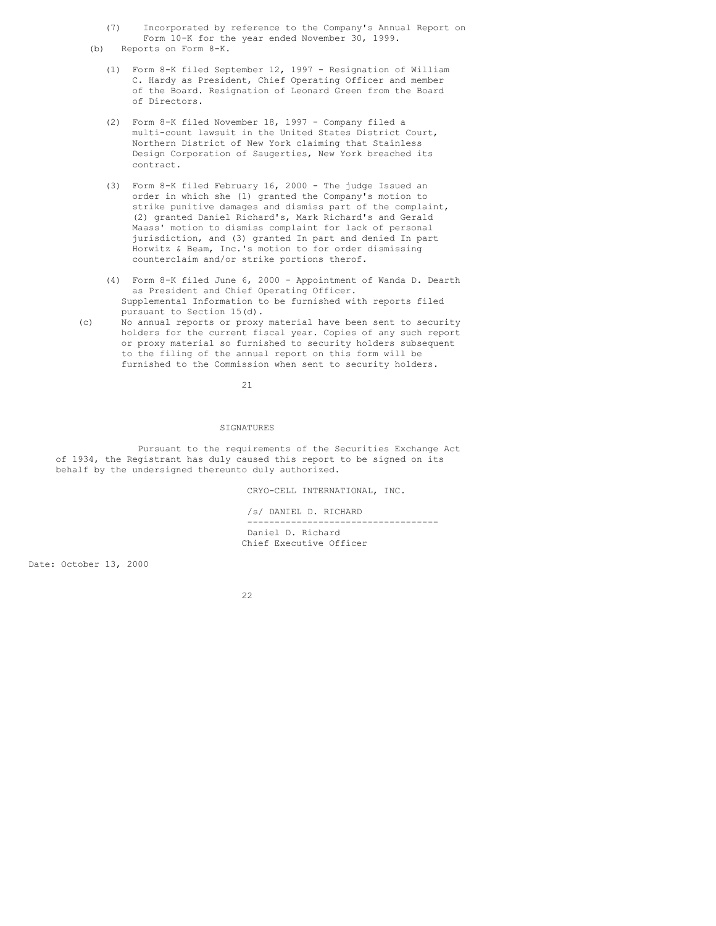(7) Incorporated by reference to the Company's Annual Report on Form 10-K for the year ended November 30, 1999.

(b) Reports on Form 8-K.

- (1) Form 8-K filed September 12, 1997 Resignation of William C. Hardy as President, Chief Operating Officer and member of the Board. Resignation of Leonard Green from the Board of Directors.
- (2) Form 8-K filed November 18, 1997 Company filed a multi-count lawsuit in the United States District Court, Northern District of New York claiming that Stainless Design Corporation of Saugerties, New York breached its contract.
- (3) Form 8-K filed February 16, 2000 The judge Issued an order in which she (1) granted the Company's motion to strike punitive damages and dismiss part of the complaint, (2) granted Daniel Richard's, Mark Richard's and Gerald Maass' motion to dismiss complaint for lack of personal jurisdiction, and (3) granted In part and denied In part Horwitz & Beam, Inc.'s motion to for order dismissing counterclaim and/or strike portions therof.
- (4) Form 8-K filed June 6, 2000 Appointment of Wanda D. Dearth as President and Chief Operating Officer. Supplemental Information to be furnished with reports filed pursuant to Section 15(d).
- (c) No annual reports or proxy material have been sent to security holders for the current fiscal year. Copies of any such report or proxy material so furnished to security holders subsequent to the filing of the annual report on this form will be furnished to the Commission when sent to security holders.

21

#### SIGNATURES

Pursuant to the requirements of the Securities Exchange Act of 1934, the Registrant has duly caused this report to be signed on its behalf by the undersigned thereunto duly authorized.

CRYO-CELL INTERNATIONAL, INC.

/s/ DANIEL D. RICHARD ----------------------------------- Daniel D. Richard Chief Executive Officer

Date: October 13, 2000

22